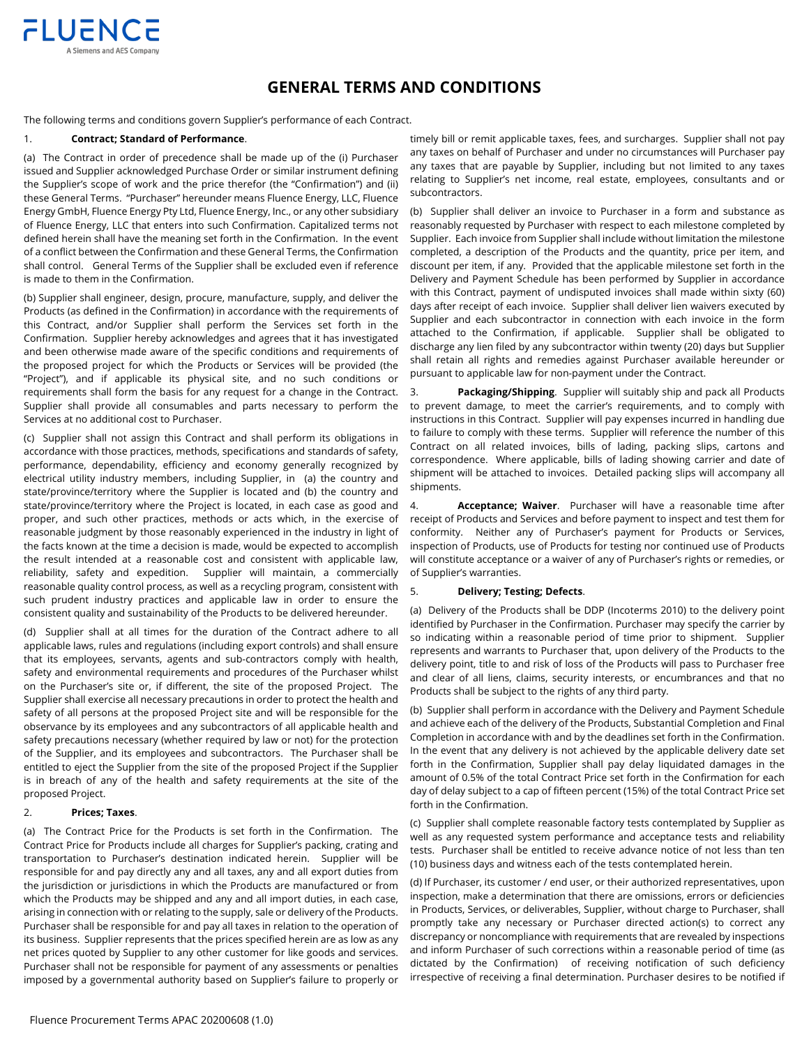

# **GENERAL TERMS AND CONDITIONS**

The following terms and conditions govern Supplier's performance of each Contract.

#### 1. **Contract; Standard of Performance**.

(a) The Contract in order of precedence shall be made up of the (i) Purchaser issued and Supplier acknowledged Purchase Order or similar instrument defining the Supplier's scope of work and the price therefor (the "Confirmation") and (ii) these General Terms. "Purchaser" hereunder means Fluence Energy, LLC, Fluence Energy GmbH, Fluence Energy Pty Ltd, Fluence Energy, Inc., or any other subsidiary of Fluence Energy, LLC that enters into such Confirmation. Capitalized terms not defined herein shall have the meaning set forth in the Confirmation. In the event of a conflict between the Confirmation and these General Terms, the Confirmation shall control. General Terms of the Supplier shall be excluded even if reference is made to them in the Confirmation.

(b) Supplier shall engineer, design, procure, manufacture, supply, and deliver the Products (as defined in the Confirmation) in accordance with the requirements of this Contract, and/or Supplier shall perform the Services set forth in the Confirmation. Supplier hereby acknowledges and agrees that it has investigated and been otherwise made aware of the specific conditions and requirements of the proposed project for which the Products or Services will be provided (the "Project"), and if applicable its physical site, and no such conditions or requirements shall form the basis for any request for a change in the Contract. Supplier shall provide all consumables and parts necessary to perform the Services at no additional cost to Purchaser.

(c) Supplier shall not assign this Contract and shall perform its obligations in accordance with those practices, methods, specifications and standards of safety, performance, dependability, efficiency and economy generally recognized by electrical utility industry members, including Supplier, in (a) the country and state/province/territory where the Supplier is located and (b) the country and state/province/territory where the Project is located, in each case as good and proper, and such other practices, methods or acts which, in the exercise of reasonable judgment by those reasonably experienced in the industry in light of the facts known at the time a decision is made, would be expected to accomplish the result intended at a reasonable cost and consistent with applicable law, reliability, safety and expedition. Supplier will maintain, a commercially reasonable quality control process, as well as a recycling program, consistent with such prudent industry practices and applicable law in order to ensure the consistent quality and sustainability of the Products to be delivered hereunder.

(d) Supplier shall at all times for the duration of the Contract adhere to all applicable laws, rules and regulations (including export controls) and shall ensure that its employees, servants, agents and sub-contractors comply with health, safety and environmental requirements and procedures of the Purchaser whilst on the Purchaser's site or, if different, the site of the proposed Project. The Supplier shall exercise all necessary precautions in order to protect the health and safety of all persons at the proposed Project site and will be responsible for the observance by its employees and any subcontractors of all applicable health and safety precautions necessary (whether required by law or not) for the protection of the Supplier, and its employees and subcontractors. The Purchaser shall be entitled to eject the Supplier from the site of the proposed Project if the Supplier is in breach of any of the health and safety requirements at the site of the proposed Project.

### 2. **Prices; Taxes**.

(a) The Contract Price for the Products is set forth in the Confirmation. The Contract Price for Products include all charges for Supplier's packing, crating and transportation to Purchaser's destination indicated herein. Supplier will be responsible for and pay directly any and all taxes, any and all export duties from the jurisdiction or jurisdictions in which the Products are manufactured or from which the Products may be shipped and any and all import duties, in each case, arising in connection with or relating to the supply, sale or delivery of the Products. Purchaser shall be responsible for and pay all taxes in relation to the operation of its business. Supplier represents that the prices specified herein are as low as any net prices quoted by Supplier to any other customer for like goods and services. Purchaser shall not be responsible for payment of any assessments or penalties imposed by a governmental authority based on Supplier's failure to properly or

timely bill or remit applicable taxes, fees, and surcharges. Supplier shall not pay any taxes on behalf of Purchaser and under no circumstances will Purchaser pay any taxes that are payable by Supplier, including but not limited to any taxes relating to Supplier's net income, real estate, employees, consultants and or subcontractors.

(b) Supplier shall deliver an invoice to Purchaser in a form and substance as reasonably requested by Purchaser with respect to each milestone completed by Supplier. Each invoice from Supplier shall include without limitation the milestone completed, a description of the Products and the quantity, price per item, and discount per item, if any. Provided that the applicable milestone set forth in the Delivery and Payment Schedule has been performed by Supplier in accordance with this Contract, payment of undisputed invoices shall made within sixty (60) days after receipt of each invoice. Supplier shall deliver lien waivers executed by Supplier and each subcontractor in connection with each invoice in the form attached to the Confirmation, if applicable. Supplier shall be obligated to discharge any lien filed by any subcontractor within twenty (20) days but Supplier shall retain all rights and remedies against Purchaser available hereunder or pursuant to applicable law for non-payment under the Contract.

3. **Packaging/Shipping**. Supplier will suitably ship and pack all Products to prevent damage, to meet the carrier's requirements, and to comply with instructions in this Contract. Supplier will pay expenses incurred in handling due to failure to comply with these terms. Supplier will reference the number of this Contract on all related invoices, bills of lading, packing slips, cartons and correspondence. Where applicable, bills of lading showing carrier and date of shipment will be attached to invoices. Detailed packing slips will accompany all shipments.

4. **Acceptance; Waiver**. Purchaser will have a reasonable time after receipt of Products and Services and before payment to inspect and test them for conformity. Neither any of Purchaser's payment for Products or Services, inspection of Products, use of Products for testing nor continued use of Products will constitute acceptance or a waiver of any of Purchaser's rights or remedies, or of Supplier's warranties.

## 5. **Delivery; Testing; Defects**.

(a) Delivery of the Products shall be DDP (Incoterms 2010) to the delivery point identified by Purchaser in the Confirmation. Purchaser may specify the carrier by so indicating within a reasonable period of time prior to shipment. Supplier represents and warrants to Purchaser that, upon delivery of the Products to the delivery point, title to and risk of loss of the Products will pass to Purchaser free and clear of all liens, claims, security interests, or encumbrances and that no Products shall be subject to the rights of any third party.

(b) Supplier shall perform in accordance with the Delivery and Payment Schedule and achieve each of the delivery of the Products, Substantial Completion and Final Completion in accordance with and by the deadlines set forth in the Confirmation. In the event that any delivery is not achieved by the applicable delivery date set forth in the Confirmation, Supplier shall pay delay liquidated damages in the amount of 0.5% of the total Contract Price set forth in the Confirmation for each day of delay subject to a cap of fifteen percent (15%) of the total Contract Price set forth in the Confirmation.

(c) Supplier shall complete reasonable factory tests contemplated by Supplier as well as any requested system performance and acceptance tests and reliability tests. Purchaser shall be entitled to receive advance notice of not less than ten (10) business days and witness each of the tests contemplated herein.

(d) If Purchaser, its customer / end user, or their authorized representatives, upon inspection, make a determination that there are omissions, errors or deficiencies in Products, Services, or deliverables, Supplier, without charge to Purchaser, shall promptly take any necessary or Purchaser directed action(s) to correct any discrepancy or noncompliance with requirements that are revealed by inspections and inform Purchaser of such corrections within a reasonable period of time (as dictated by the Confirmation) of receiving notification of such deficiency irrespective of receiving a final determination. Purchaser desires to be notified if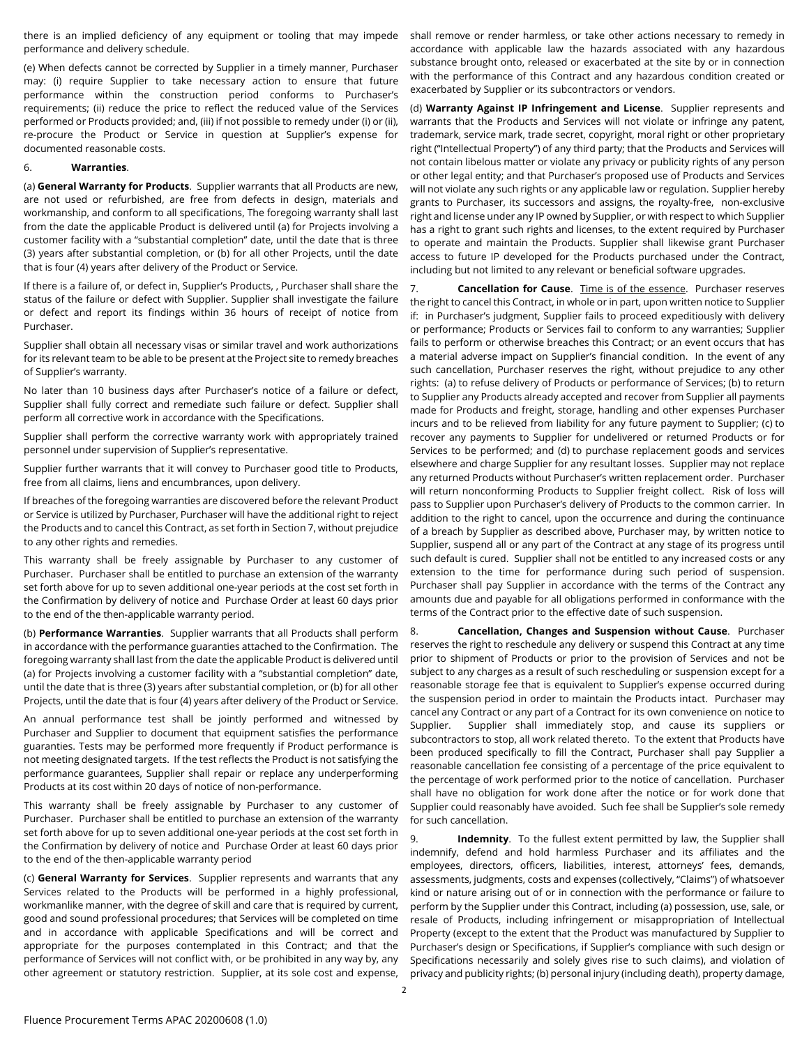there is an implied deficiency of any equipment or tooling that may impede performance and delivery schedule.

(e) When defects cannot be corrected by Supplier in a timely manner, Purchaser may: (i) require Supplier to take necessary action to ensure that future performance within the construction period conforms to Purchaser's requirements; (ii) reduce the price to reflect the reduced value of the Services performed or Products provided; and, (iii) if not possible to remedy under (i) or (ii), re-procure the Product or Service in question at Supplier's expense for documented reasonable costs.

#### 6. **Warranties**.

(a) **General Warranty for Products**. Supplier warrants that all Products are new, are not used or refurbished, are free from defects in design, materials and workmanship, and conform to all specifications, The foregoing warranty shall last from the date the applicable Product is delivered until (a) for Projects involving a customer facility with a "substantial completion" date, until the date that is three (3) years after substantial completion, or (b) for all other Projects, until the date that is four (4) years after delivery of the Product or Service.

If there is a failure of, or defect in, Supplier's Products, , Purchaser shall share the status of the failure or defect with Supplier. Supplier shall investigate the failure or defect and report its findings within 36 hours of receipt of notice from Purchaser.

Supplier shall obtain all necessary visas or similar travel and work authorizations for its relevant team to be able to be present at the Project site to remedy breaches of Supplier's warranty.

No later than 10 business days after Purchaser's notice of a failure or defect, Supplier shall fully correct and remediate such failure or defect. Supplier shall perform all corrective work in accordance with the Specifications.

Supplier shall perform the corrective warranty work with appropriately trained personnel under supervision of Supplier's representative.

Supplier further warrants that it will convey to Purchaser good title to Products, free from all claims, liens and encumbrances, upon delivery.

If breaches of the foregoing warranties are discovered before the relevant Product or Service is utilized by Purchaser, Purchaser will have the additional right to reject the Products and to cancel this Contract, as set forth in Section 7, without prejudice to any other rights and remedies.

This warranty shall be freely assignable by Purchaser to any customer of Purchaser. Purchaser shall be entitled to purchase an extension of the warranty set forth above for up to seven additional one-year periods at the cost set forth in the Confirmation by delivery of notice and Purchase Order at least 60 days prior to the end of the then-applicable warranty period.

(b) **Performance Warranties**. Supplier warrants that all Products shall perform in accordance with the performance guaranties attached to the Confirmation. The foregoing warranty shall last from the date the applicable Product is delivered until (a) for Projects involving a customer facility with a "substantial completion" date, until the date that is three (3) years after substantial completion, or (b) for all other Projects, until the date that is four (4) years after delivery of the Product or Service.

An annual performance test shall be jointly performed and witnessed by Purchaser and Supplier to document that equipment satisfies the performance guaranties. Tests may be performed more frequently if Product performance is not meeting designated targets. If the test reflects the Product is not satisfying the performance guarantees, Supplier shall repair or replace any underperforming Products at its cost within 20 days of notice of non-performance.

This warranty shall be freely assignable by Purchaser to any customer of Purchaser. Purchaser shall be entitled to purchase an extension of the warranty set forth above for up to seven additional one-year periods at the cost set forth in the Confirmation by delivery of notice and Purchase Order at least 60 days prior to the end of the then-applicable warranty period

(c) **General Warranty for Services**. Supplier represents and warrants that any Services related to the Products will be performed in a highly professional, workmanlike manner, with the degree of skill and care that is required by current, good and sound professional procedures; that Services will be completed on time and in accordance with applicable Specifications and will be correct and appropriate for the purposes contemplated in this Contract; and that the performance of Services will not conflict with, or be prohibited in any way by, any other agreement or statutory restriction. Supplier, at its sole cost and expense,

shall remove or render harmless, or take other actions necessary to remedy in accordance with applicable law the hazards associated with any hazardous substance brought onto, released or exacerbated at the site by or in connection with the performance of this Contract and any hazardous condition created or exacerbated by Supplier or its subcontractors or vendors.

(d) **Warranty Against IP Infringement and License**. Supplier represents and warrants that the Products and Services will not violate or infringe any patent, trademark, service mark, trade secret, copyright, moral right or other proprietary right ("Intellectual Property") of any third party; that the Products and Services will not contain libelous matter or violate any privacy or publicity rights of any person or other legal entity; and that Purchaser's proposed use of Products and Services will not violate any such rights or any applicable law or regulation. Supplier hereby grants to Purchaser, its successors and assigns, the royalty-free, non-exclusive right and license under any IP owned by Supplier, or with respect to which Supplier has a right to grant such rights and licenses, to the extent required by Purchaser to operate and maintain the Products. Supplier shall likewise grant Purchaser access to future IP developed for the Products purchased under the Contract, including but not limited to any relevant or beneficial software upgrades.

7. **Cancellation for Cause**. Time is of the essence. Purchaser reserves the right to cancel this Contract, in whole or in part, upon written notice to Supplier if: in Purchaser's judgment, Supplier fails to proceed expeditiously with delivery or performance; Products or Services fail to conform to any warranties; Supplier fails to perform or otherwise breaches this Contract; or an event occurs that has a material adverse impact on Supplier's financial condition. In the event of any such cancellation, Purchaser reserves the right, without prejudice to any other rights: (a) to refuse delivery of Products or performance of Services; (b) to return to Supplier any Products already accepted and recover from Supplier all payments made for Products and freight, storage, handling and other expenses Purchaser incurs and to be relieved from liability for any future payment to Supplier; (c) to recover any payments to Supplier for undelivered or returned Products or for Services to be performed; and (d) to purchase replacement goods and services elsewhere and charge Supplier for any resultant losses. Supplier may not replace any returned Products without Purchaser's written replacement order. Purchaser will return nonconforming Products to Supplier freight collect. Risk of loss will pass to Supplier upon Purchaser's delivery of Products to the common carrier. In addition to the right to cancel, upon the occurrence and during the continuance of a breach by Supplier as described above, Purchaser may, by written notice to Supplier, suspend all or any part of the Contract at any stage of its progress until such default is cured. Supplier shall not be entitled to any increased costs or any extension to the time for performance during such period of suspension. Purchaser shall pay Supplier in accordance with the terms of the Contract any amounts due and payable for all obligations performed in conformance with the terms of the Contract prior to the effective date of such suspension.

8. **Cancellation, Changes and Suspension without Cause**. Purchaser reserves the right to reschedule any delivery or suspend this Contract at any time prior to shipment of Products or prior to the provision of Services and not be subject to any charges as a result of such rescheduling or suspension except for a reasonable storage fee that is equivalent to Supplier's expense occurred during the suspension period in order to maintain the Products intact. Purchaser may cancel any Contract or any part of a Contract for its own convenience on notice to Supplier. Supplier shall immediately stop, and cause its suppliers or subcontractors to stop, all work related thereto. To the extent that Products have been produced specifically to fill the Contract, Purchaser shall pay Supplier a reasonable cancellation fee consisting of a percentage of the price equivalent to the percentage of work performed prior to the notice of cancellation. Purchaser shall have no obligation for work done after the notice or for work done that Supplier could reasonably have avoided. Such fee shall be Supplier's sole remedy for such cancellation.

9. **Indemnity**. To the fullest extent permitted by law, the Supplier shall indemnify, defend and hold harmless Purchaser and its affiliates and the employees, directors, officers, liabilities, interest, attorneys' fees, demands, assessments, judgments, costs and expenses (collectively, "Claims") of whatsoever kind or nature arising out of or in connection with the performance or failure to perform by the Supplier under this Contract, including (a) possession, use, sale, or resale of Products, including infringement or misappropriation of Intellectual Property (except to the extent that the Product was manufactured by Supplier to Purchaser's design or Specifications, if Supplier's compliance with such design or Specifications necessarily and solely gives rise to such claims), and violation of privacy and publicity rights; (b) personal injury (including death), property damage,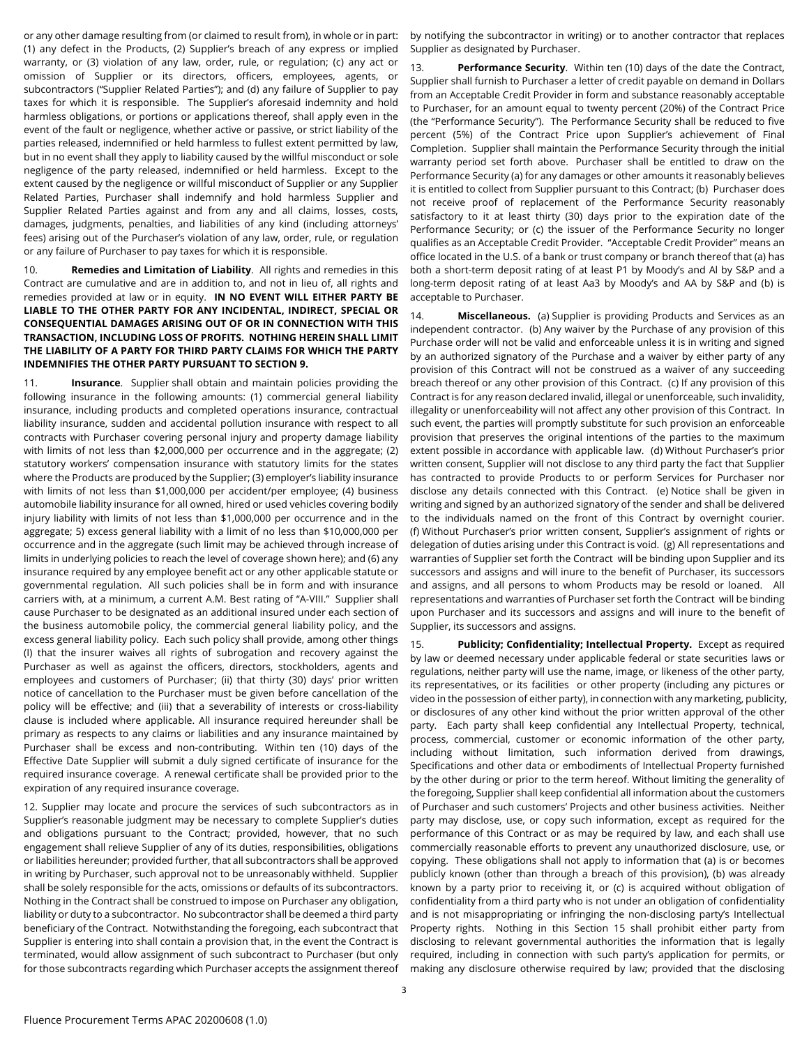or any other damage resulting from (or claimed to result from), in whole or in part: (1) any defect in the Products, (2) Supplier's breach of any express or implied warranty, or (3) violation of any law, order, rule, or regulation; (c) any act or omission of Supplier or its directors, officers, employees, agents, or subcontractors ("Supplier Related Parties"); and (d) any failure of Supplier to pay taxes for which it is responsible. The Supplier's aforesaid indemnity and hold harmless obligations, or portions or applications thereof, shall apply even in the event of the fault or negligence, whether active or passive, or strict liability of the parties released, indemnified or held harmless to fullest extent permitted by law, but in no event shall they apply to liability caused by the willful misconduct or sole negligence of the party released, indemnified or held harmless. Except to the extent caused by the negligence or willful misconduct of Supplier or any Supplier Related Parties, Purchaser shall indemnify and hold harmless Supplier and Supplier Related Parties against and from any and all claims, losses, costs, damages, judgments, penalties, and liabilities of any kind (including attorneys' fees) arising out of the Purchaser's violation of any law, order, rule, or regulation or any failure of Purchaser to pay taxes for which it is responsible.

10. **Remedies and Limitation of Liability**. All rights and remedies in this Contract are cumulative and are in addition to, and not in lieu of, all rights and remedies provided at law or in equity. **IN NO EVENT WILL EITHER PARTY BE LIABLE TO THE OTHER PARTY FOR ANY INCIDENTAL, INDIRECT, SPECIAL OR CONSEQUENTIAL DAMAGES ARISING OUT OF OR IN CONNECTION WITH THIS TRANSACTION, INCLUDING LOSS OF PROFITS. NOTHING HEREIN SHALL LIMIT THE LIABILITY OF A PARTY FOR THIRD PARTY CLAIMS FOR WHICH THE PARTY INDEMNIFIES THE OTHER PARTY PURSUANT TO SECTION 9.**

11. **Insurance**. Supplier shall obtain and maintain policies providing the following insurance in the following amounts: (1) commercial general liability insurance, including products and completed operations insurance, contractual liability insurance, sudden and accidental pollution insurance with respect to all contracts with Purchaser covering personal injury and property damage liability with limits of not less than \$2,000,000 per occurrence and in the aggregate; (2) statutory workers' compensation insurance with statutory limits for the states where the Products are produced by the Supplier; (3) employer's liability insurance with limits of not less than \$1,000,000 per accident/per employee; (4) business automobile liability insurance for all owned, hired or used vehicles covering bodily injury liability with limits of not less than \$1,000,000 per occurrence and in the aggregate; 5) excess general liability with a limit of no less than \$10,000,000 per occurrence and in the aggregate (such limit may be achieved through increase of limits in underlying policies to reach the level of coverage shown here); and (6) any insurance required by any employee benefit act or any other applicable statute or governmental regulation. All such policies shall be in form and with insurance carriers with, at a minimum, a current A.M. Best rating of "A-VIII." Supplier shall cause Purchaser to be designated as an additional insured under each section of the business automobile policy, the commercial general liability policy, and the excess general liability policy. Each such policy shall provide, among other things (I) that the insurer waives all rights of subrogation and recovery against the Purchaser as well as against the officers, directors, stockholders, agents and employees and customers of Purchaser; (ii) that thirty (30) days' prior written notice of cancellation to the Purchaser must be given before cancellation of the policy will be effective; and (iii) that a severability of interests or cross-liability clause is included where applicable. All insurance required hereunder shall be primary as respects to any claims or liabilities and any insurance maintained by Purchaser shall be excess and non-contributing. Within ten (10) days of the Effective Date Supplier will submit a duly signed certificate of insurance for the required insurance coverage. A renewal certificate shall be provided prior to the expiration of any required insurance coverage.

12. Supplier may locate and procure the services of such subcontractors as in Supplier's reasonable judgment may be necessary to complete Supplier's duties and obligations pursuant to the Contract; provided, however, that no such engagement shall relieve Supplier of any of its duties, responsibilities, obligations or liabilities hereunder; provided further, that all subcontractors shall be approved in writing by Purchaser, such approval not to be unreasonably withheld. Supplier shall be solely responsible for the acts, omissions or defaults of its subcontractors. Nothing in the Contract shall be construed to impose on Purchaser any obligation, liability or duty to a subcontractor. No subcontractor shall be deemed a third party beneficiary of the Contract. Notwithstanding the foregoing, each subcontract that Supplier is entering into shall contain a provision that, in the event the Contract is terminated, would allow assignment of such subcontract to Purchaser (but only for those subcontracts regarding which Purchaser accepts the assignment thereof

by notifying the subcontractor in writing) or to another contractor that replaces Supplier as designated by Purchaser.

13. **Performance Security**. Within ten (10) days of the date the Contract, Supplier shall furnish to Purchaser a letter of credit payable on demand in Dollars from an Acceptable Credit Provider in form and substance reasonably acceptable to Purchaser, for an amount equal to twenty percent (20%) of the Contract Price (the "Performance Security"). The Performance Security shall be reduced to five percent (5%) of the Contract Price upon Supplier's achievement of Final Completion. Supplier shall maintain the Performance Security through the initial warranty period set forth above. Purchaser shall be entitled to draw on the Performance Security (a) for any damages or other amounts it reasonably believes it is entitled to collect from Supplier pursuant to this Contract; (b) Purchaser does not receive proof of replacement of the Performance Security reasonably satisfactory to it at least thirty (30) days prior to the expiration date of the Performance Security; or (c) the issuer of the Performance Security no longer qualifies as an Acceptable Credit Provider. "Acceptable Credit Provider" means an office located in the U.S. of a bank or trust company or branch thereof that (a) has both a short-term deposit rating of at least P1 by Moody's and Al by S&P and a long-term deposit rating of at least Aa3 by Moody's and AA by S&P and (b) is acceptable to Purchaser.

14. **Miscellaneous.** (a) Supplier is providing Products and Services as an independent contractor. (b) Any waiver by the Purchase of any provision of this Purchase order will not be valid and enforceable unless it is in writing and signed by an authorized signatory of the Purchase and a waiver by either party of any provision of this Contract will not be construed as a waiver of any succeeding breach thereof or any other provision of this Contract. (c) If any provision of this Contract is for any reason declared invalid, illegal or unenforceable, such invalidity, illegality or unenforceability will not affect any other provision of this Contract. In such event, the parties will promptly substitute for such provision an enforceable provision that preserves the original intentions of the parties to the maximum extent possible in accordance with applicable law. (d) Without Purchaser's prior written consent, Supplier will not disclose to any third party the fact that Supplier has contracted to provide Products to or perform Services for Purchaser nor disclose any details connected with this Contract. (e) Notice shall be given in writing and signed by an authorized signatory of the sender and shall be delivered to the individuals named on the front of this Contract by overnight courier. (f) Without Purchaser's prior written consent, Supplier's assignment of rights or delegation of duties arising under this Contract is void. (g) All representations and warranties of Supplier set forth the Contract will be binding upon Supplier and its successors and assigns and will inure to the benefit of Purchaser, its successors and assigns, and all persons to whom Products may be resold or loaned. All representations and warranties of Purchaser set forth the Contract will be binding upon Purchaser and its successors and assigns and will inure to the benefit of Supplier, its successors and assigns.

15. **Publicity; Confidentiality; Intellectual Property.** Except as required by law or deemed necessary under applicable federal or state securities laws or regulations, neither party will use the name, image, or likeness of the other party, its representatives, or its facilities or other property (including any pictures or video in the possession of either party), in connection with any marketing, publicity, or disclosures of any other kind without the prior written approval of the other party. Each party shall keep confidential any Intellectual Property, technical, process, commercial, customer or economic information of the other party, including without limitation, such information derived from drawings, Specifications and other data or embodiments of Intellectual Property furnished by the other during or prior to the term hereof. Without limiting the generality of the foregoing, Supplier shall keep confidential all information about the customers of Purchaser and such customers' Projects and other business activities. Neither party may disclose, use, or copy such information, except as required for the performance of this Contract or as may be required by law, and each shall use commercially reasonable efforts to prevent any unauthorized disclosure, use, or copying. These obligations shall not apply to information that (a) is or becomes publicly known (other than through a breach of this provision), (b) was already known by a party prior to receiving it, or (c) is acquired without obligation of confidentiality from a third party who is not under an obligation of confidentiality and is not misappropriating or infringing the non-disclosing party's Intellectual Property rights. Nothing in this Section 15 shall prohibit either party from disclosing to relevant governmental authorities the information that is legally required, including in connection with such party's application for permits, or making any disclosure otherwise required by law; provided that the disclosing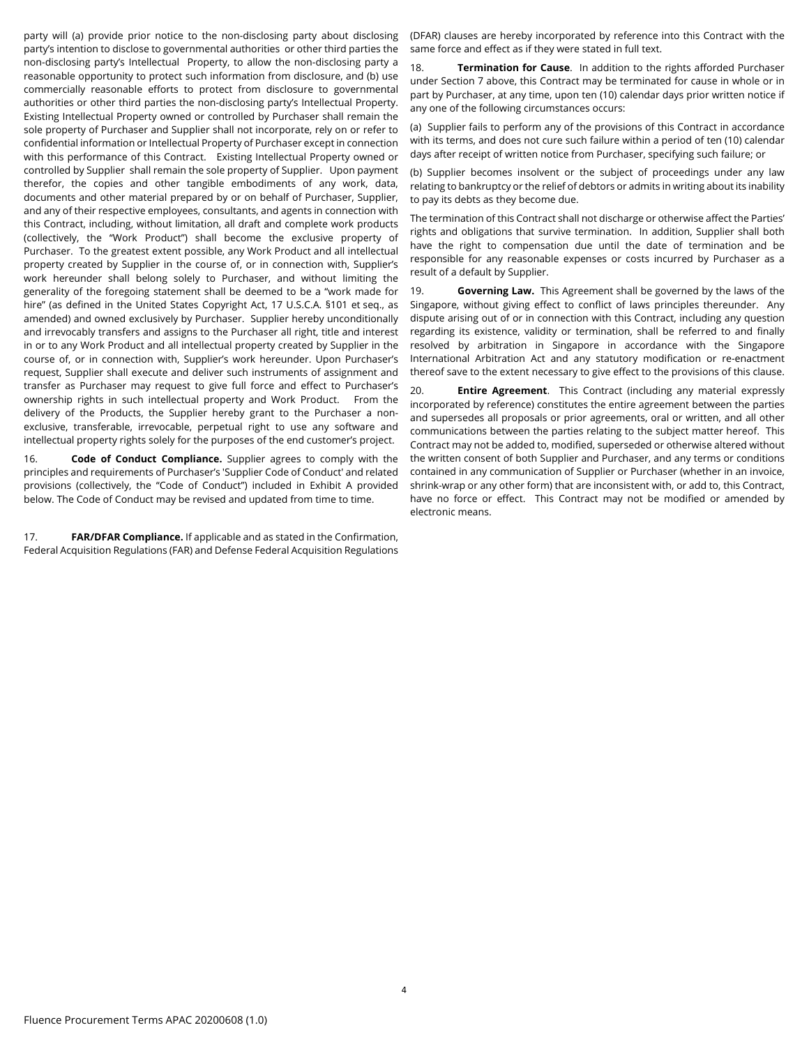party will (a) provide prior notice to the non-disclosing party about disclosing party's intention to disclose to governmental authorities or other third parties the non-disclosing party's Intellectual Property, to allow the non-disclosing party a reasonable opportunity to protect such information from disclosure, and (b) use commercially reasonable efforts to protect from disclosure to governmental authorities or other third parties the non-disclosing party's Intellectual Property. Existing Intellectual Property owned or controlled by Purchaser shall remain the sole property of Purchaser and Supplier shall not incorporate, rely on or refer to confidential information or Intellectual Property of Purchaser except in connection with this performance of this Contract. Existing Intellectual Property owned or controlled by Supplier shall remain the sole property of Supplier. Upon payment therefor, the copies and other tangible embodiments of any work, data, documents and other material prepared by or on behalf of Purchaser, Supplier, and any of their respective employees, consultants, and agents in connection with this Contract, including, without limitation, all draft and complete work products (collectively, the "Work Product") shall become the exclusive property of Purchaser. To the greatest extent possible, any Work Product and all intellectual property created by Supplier in the course of, or in connection with, Supplier's work hereunder shall belong solely to Purchaser, and without limiting the generality of the foregoing statement shall be deemed to be a "work made for hire" (as defined in the United States Copyright Act, 17 U.S.C.A. §101 et seq., as amended) and owned exclusively by Purchaser. Supplier hereby unconditionally and irrevocably transfers and assigns to the Purchaser all right, title and interest in or to any Work Product and all intellectual property created by Supplier in the course of, or in connection with, Supplier's work hereunder. Upon Purchaser's request, Supplier shall execute and deliver such instruments of assignment and transfer as Purchaser may request to give full force and effect to Purchaser's ownership rights in such intellectual property and Work Product. From the delivery of the Products, the Supplier hereby grant to the Purchaser a nonexclusive, transferable, irrevocable, perpetual right to use any software and intellectual property rights solely for the purposes of the end customer's project.

16. **Code of Conduct Compliance.** Supplier agrees to comply with the principles and requirements of Purchaser's 'Supplier Code of Conduct' and related provisions (collectively, the "Code of Conduct") included in Exhibit A provided below. The Code of Conduct may be revised and updated from time to time.

17. **FAR/DFAR Compliance.** If applicable and as stated in the Confirmation, Federal Acquisition Regulations (FAR) and Defense Federal Acquisition Regulations (DFAR) clauses are hereby incorporated by reference into this Contract with the same force and effect as if they were stated in full text.

18. **Termination for Cause**. In addition to the rights afforded Purchaser under Section 7 above, this Contract may be terminated for cause in whole or in part by Purchaser, at any time, upon ten (10) calendar days prior written notice if any one of the following circumstances occurs:

(a) Supplier fails to perform any of the provisions of this Contract in accordance with its terms, and does not cure such failure within a period of ten (10) calendar days after receipt of written notice from Purchaser, specifying such failure; or

(b) Supplier becomes insolvent or the subject of proceedings under any law relating to bankruptcy or the relief of debtors or admits in writing about its inability to pay its debts as they become due.

The termination of this Contract shall not discharge or otherwise affect the Parties' rights and obligations that survive termination. In addition, Supplier shall both have the right to compensation due until the date of termination and be responsible for any reasonable expenses or costs incurred by Purchaser as a result of a default by Supplier.

19. **Governing Law.** This Agreement shall be governed by the laws of the Singapore, without giving effect to conflict of laws principles thereunder. Any dispute arising out of or in connection with this Contract, including any question regarding its existence, validity or termination, shall be referred to and finally resolved by arbitration in Singapore in accordance with the Singapore International Arbitration Act and any statutory modification or re-enactment thereof save to the extent necessary to give effect to the provisions of this clause.

20. **Entire Agreement**. This Contract (including any material expressly incorporated by reference) constitutes the entire agreement between the parties and supersedes all proposals or prior agreements, oral or written, and all other communications between the parties relating to the subject matter hereof. This Contract may not be added to, modified, superseded or otherwise altered without the written consent of both Supplier and Purchaser, and any terms or conditions contained in any communication of Supplier or Purchaser (whether in an invoice, shrink-wrap or any other form) that are inconsistent with, or add to, this Contract, have no force or effect. This Contract may not be modified or amended by electronic means.